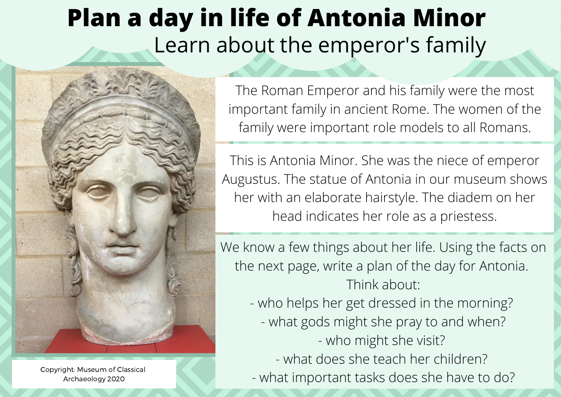## **Plan a day in life of Antonia Minor** Learn about the emperor's family



Copyright: Museum of Classical Archaeology 2020

The Roman Emperor and his family were the most important family in ancient Rome. The women of the family were important role models to all Romans.

This is Antonia Minor. She was the niece of emperor Augustus. The statue of Antonia in our museum shows her with an elaborate hairstyle. The diadem on her head indicates her role as a priestess.

We know a few things about her life. Using the facts on the next page, write a plan of the day for Antonia. Think about:

> - who helps her get dressed in the morning? - what gods might she pray to and when?

- who might she visit?

- what does she teach her children?

- what important tasks does she have to do?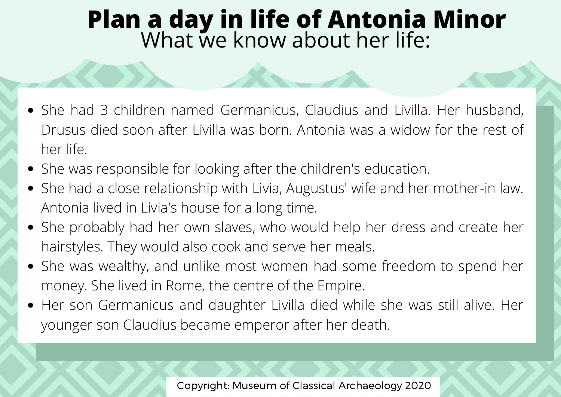## **Plan a day in life of Antonia Minor** What we know about her life:

- She had 3 children named Germanicus, Claudius and Livilla. Her husband, Drusus died soon after Livilla was born. Antonia was a widow for the rest of her life.
- She was responsible for looking after the children's education.
- She had a close relationship with Livia, Augustus' wife and her mother-in law. Antonia lived in Livia's house for a long time.
- She probably had her own slaves, who would help her dress and create her hairstyles. They would also cook and serve her meals.
- She was wealthy, and unlike most women had some freedom to spend her money. She lived in Rome, the centre of the Empire.
- Her son Germanicus and daughter Livilla died while she was still alive. Her younger son Claudius became emperor after her death.

Copyright: Museum of Classical Archaeology 2020